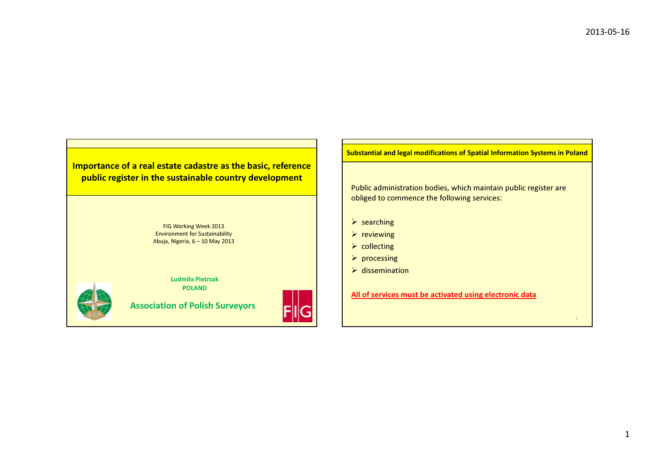# Importance of a real estate cadastre as the basic, reference public register in the sustainable country development

FIG Working Week 2013 Environment for Sustainability Abuja, Nigeria, 6 – 10 May 2013

> Ludmiła PietrzakPOLAND

Association of Polish Surveyors



Substantial and legal modifications of Spatial Information Systems in Poland

Public administration bodies, which maintain public register areobliged to commence the following services:

- $\triangleright$  searching
- $\triangleright$  reviewing
- $\triangleright$  collecting
- $\rho$  processing
- $\triangleright$  dissemination

All of services must be activated using electronic data

 $\overline{\phantom{a}}$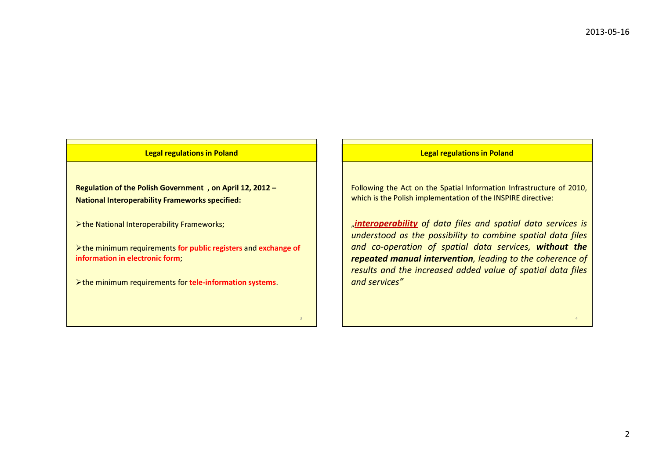## Legal regulations in Poland

Regulation of the Polish Government , on April 12, 2012 –National Interoperability Frameworks specified:

▶ the National Interoperability Frameworks;

 $\triangleright$  the minimum requirements for public registers and exchange of information in electronic form;

 $\triangleright$  the minimum requirements for tele-information systems.

## Legal regulations in Poland

Following the Act on the Spatial Information Infrastructure of 2010,which is the Polish implementation of the INSPIRE directive:

<u>"<mark>interoperability</mark> of data f</u>iles and spatial data services is understood as the possibility to combine spatial data filesand co-operation of spatial data services, **without the**  repeated manual intervention, leading to the coherence of results and the increased added value of spatial data filesand services"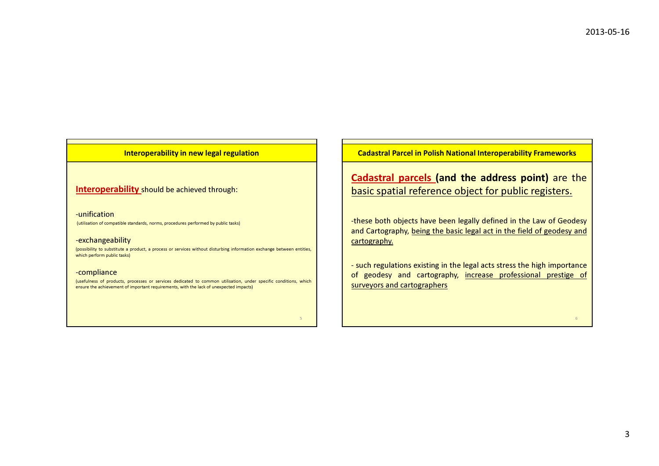## Interoperability in new legal regulation

# <mark>Interoperability</mark> should be achieved through:

#### -unification

(utilisation of compatible standards, norms, procedures performed by public tasks)

### -exchangeability

 (possibility to substitute <sup>a</sup> product, <sup>a</sup> process or services without disturbing information exchange between entities, which perform public tasks)

#### -compliance

 (usefulness of products, processes or services dedicated to common utilisation, under specific conditions, whichensure the achievement of important requirements, with the lack of unexpected impacts)

5

Cadastral Parcel in Polish National Interoperability Frameworks

# Cadastral parcels (and the address point) are thebasic spatial reference object for public registers.

-these both objects have been legally defined in the Law of Geodesyand Cartography, being the basic legal act in the field of geodesy and cartography.

- such regulations existing in the legal acts stress the high importance of geodesy and cartography, increase professional prestige of surveyors and cartographers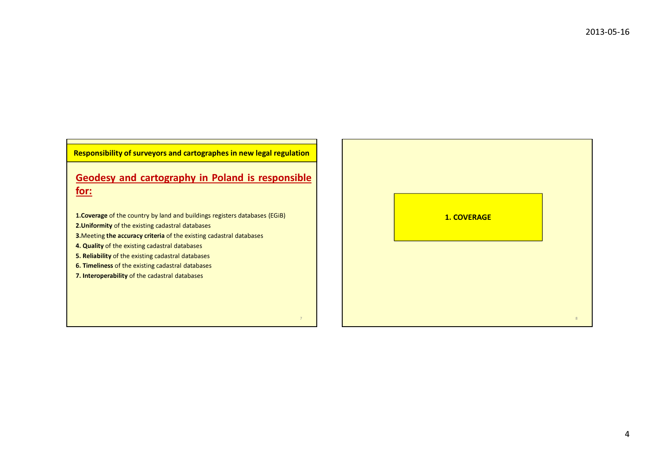# Responsibility of surveyors and cartographes in new legal regulation

# Geodesy and cartography in Poland is responsiblefor:

7

1.Coverage of the country by land and buildings registers databases (EGiB)

2. Uniformity of the existing cadastral databases

**3.**Meeting **the accuracy criteria** of the existing cadastral databases

4. Quality of the existing cadastral databases

**5. Reliability** of the existing cadastral databases

**6. Timeliness** of the existing cadastral databases

7. Interoperability of the cadastral databases

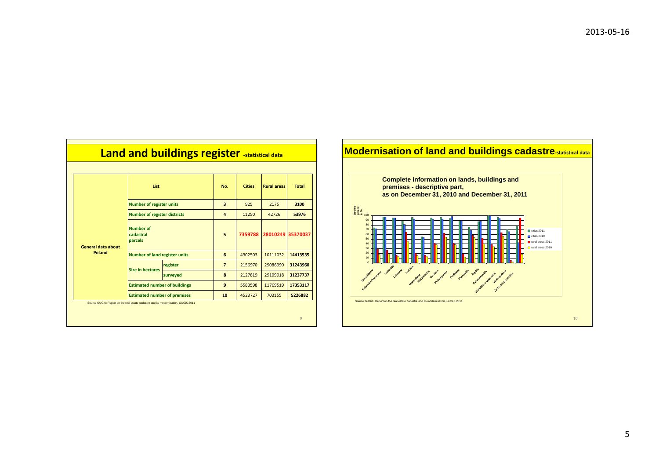|                           | List                                     |          | No.            | <b>Cities</b> | <b>Rural areas</b> | <b>Total</b> |
|---------------------------|------------------------------------------|----------|----------------|---------------|--------------------|--------------|
|                           | <b>Number of register units</b>          |          | 3              | 925           | 2175               | 3100         |
|                           | <b>Number of register districts</b>      |          | $\overline{4}$ | 11250         | 42726              | 53976        |
| <b>General data about</b> | <b>Number of</b><br>cadastral<br>parcels |          | 5              | 7359788       | 28010249 35370037  |              |
| Poland                    | <b>Number of land register units</b>     |          | 6              | 4302503       | 10111032           | 14413535     |
|                           |                                          | register | $\overline{7}$ | 2156970       | 29086990           | 31243960     |
|                           | <b>Size in hectares</b>                  | surveyed | 8              | 2127819       | 29109918           | 31237737     |
|                           | <b>Estimated number of buildings</b>     |          | 9              | 5583598       | 11769519           | 17353117     |
|                           | <b>Estimated number of premises</b>      |          | 10             | 4523727       | 703155             | 5226882      |

Land and buildings register

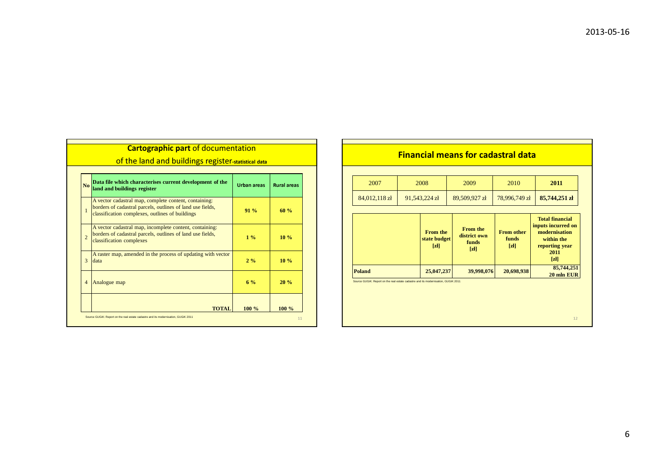|                          | No Data file which characterises current development of the<br>land and buildings register                                                                             | <b>Urban areas</b> | <b>Rural areas</b> |
|--------------------------|------------------------------------------------------------------------------------------------------------------------------------------------------------------------|--------------------|--------------------|
| $\mathbf{1}$             | A vector cadastral map, complete content, containing:<br>borders of cadastral parcels, outlines of land use fields,<br>classification complexes, outlines of buildings | $91\%$             | 60%                |
| $\overline{c}$           | A vector cadastral map, incomplete content, containing:<br>borders of cadastral parcels, outlines of land use fields,<br>classification complexes                      | 1%                 | 10%                |
| $\overline{\mathcal{E}}$ | A raster map, amended in the process of updating with vector<br>data                                                                                                   | 2%                 | 10%                |
| $\overline{4}$           | Analogue map                                                                                                                                                           | 6%                 | 20%                |

| 2011<br>2007<br>2008<br>2009<br>2010<br>85,744,251 zł<br>84,012,118 zł<br>91,543,224 zł<br>89,509,927 zł<br>78,996,749 zł<br><b>Total financial</b><br>inputs incurred on<br><b>From the</b><br>modernisation<br><b>From the</b><br><b>From other</b><br>district own<br>state budget<br><b>funds</b><br>within the |
|---------------------------------------------------------------------------------------------------------------------------------------------------------------------------------------------------------------------------------------------------------------------------------------------------------------------|
|                                                                                                                                                                                                                                                                                                                     |
|                                                                                                                                                                                                                                                                                                                     |
| <b>funds</b><br>reporting year<br>$\left[ z \right]$<br>$\left[ z \right]$<br>z1<br>2011<br>$\left[\mathbf{z}\right]$                                                                                                                                                                                               |
| 85,744,251<br><b>Poland</b><br>25,047,237<br>39,998,076<br>20,698,938<br>20 mln EUR                                                                                                                                                                                                                                 |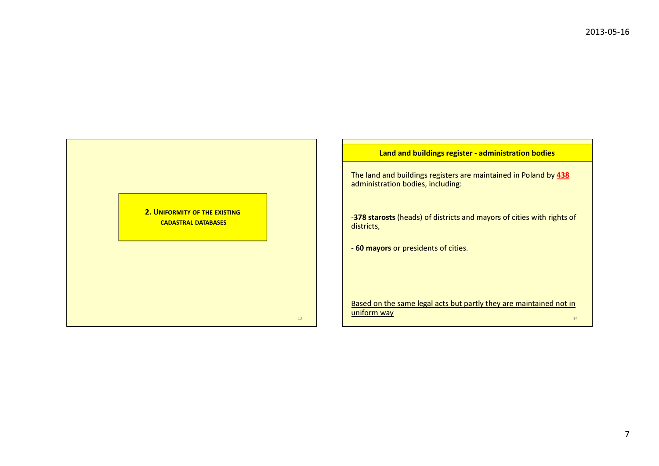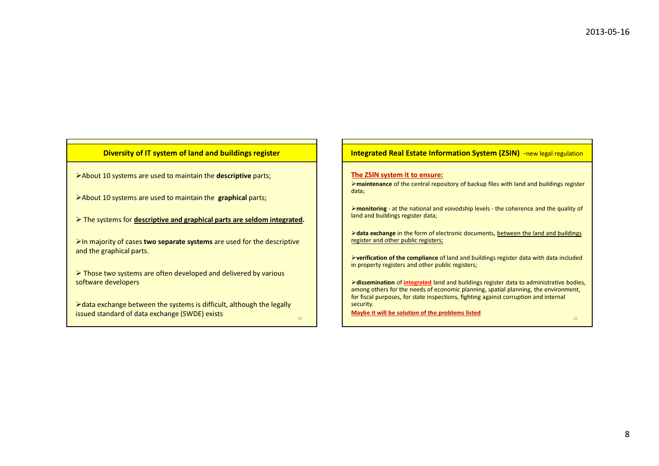# Diversity of IT system of land and buildings register

 $\triangleright$  About 10 systems are used to maintain the **descriptive** parts;

 $\blacktriangleright$  About 10 systems are used to maintain the  $\,$  graphical parts;

 $\triangleright$  The systems for **<u>descriptive and graphical parts are seldom integrated</u>.** 

 $\triangleright$ In majority of cases two separate systems are used for the descriptive and the graphical parts.

 $\triangleright$  Those two systems are often developed and delivered by various seftware developed software developers

 $\triangleright$  data exchange between the systems is difficult, although the legally issued standard of data exchange (SWDE) exists

15

Integrated Real Estate Information System (ZSIN) -new legal regulation

### The ZSIN system it to ensure:

>maintenance of the central repository of backup files with land and buildings register data;

monitoring - at the national and voivodship levels - the coherence and the quality of land and buildings register data;

 $\triangleright$  data exchange in the form of electronic documents, between the land and buildings register and other public registers;

verification of the compliance of land and buildings register data with data included in property registers and other public registers;

>dissemination of *integrated* land and buildings register data to administrative bodies, among others for the needs of economic planning, spatial planning, the environment, for fiscal purposes, for state inspections, fighting against corruption and internal security.

Maybe it will be solution of the problems listed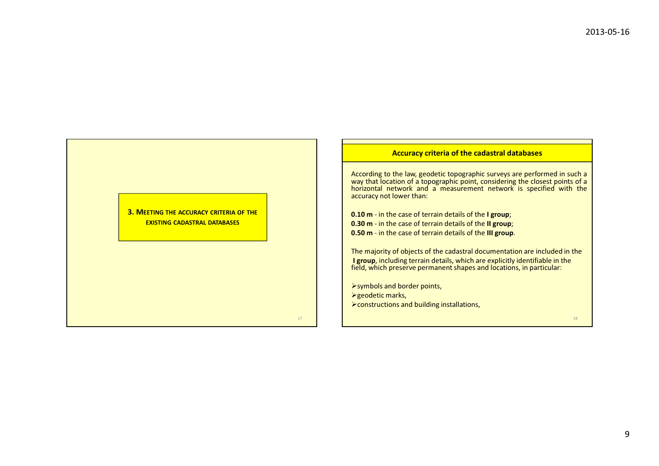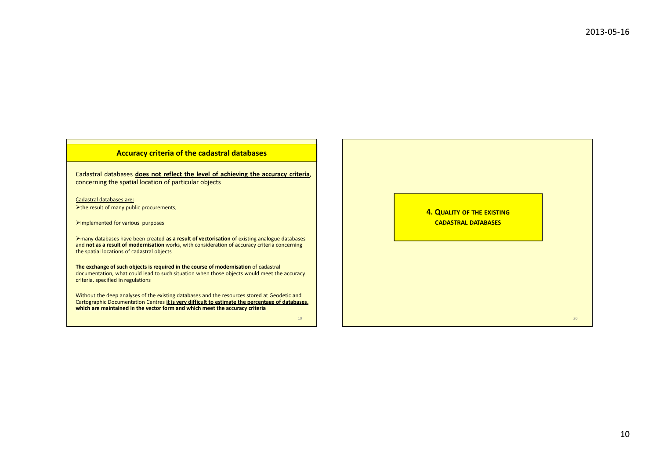## Accuracy criteria of the cadastral databases

Cadastral databases <mark>does not reflect the level of achieving the accuracy criteria</mark>, concerning the spatial location of particular objects

Cadastral databases are:the result of many public procurements,

 $\triangleright$  implemented for various purposes

many databases have been created as a result of vectorisation of existing analogue databases and not as a result of modernisation works, with consideration of accuracy criteria concerning the spatial locations of cadastral objects

The exchange of such objects is required in the course of modernisation of cadastral documentation, what could lead to such situation when those objects would meet the accuracy criteria, specified in regulations

Without the deep analyses of the existing databases and the resources stored at Geodetic and Cartographic Documentation Centres it is very difficult to estimate the percentage of databases, which are maintained in the vector form and which meet the accuracy criteria

19

**4. QUALITY OF THE EXISTING** CADASTRAL DATABASES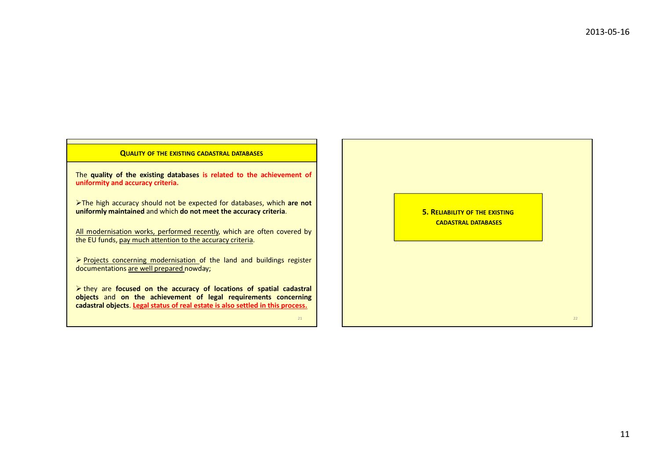## QUALITY OF THE EXISTING CADASTRAL DATABASES

The quality of the existing databases is related to the achievement of uniformity and accuracy criteria.

 $\triangleright$ The high accuracy should not be expected for databases, which are not uniformly maintained and which do not meet the accuracy criteria.

All modernisation works, performed recently, which are often covered by the EU funds, pay much attention to the accuracy criteria.

 $\triangleright$  Projects concerning modernisation of the land and buildings register documentations are well prepared nowday;

 $\triangleright$  they are focused on the accuracy of locations of spatial cadastral<br>objects and on the achievement of local requirements conserving objects and on the achievement of legal requirements concerning cadastral objects. Legal status of real estate is also settled in this process.

21

**5. RELIABILITY OF THE EXISTING** CADASTRAL DATABASES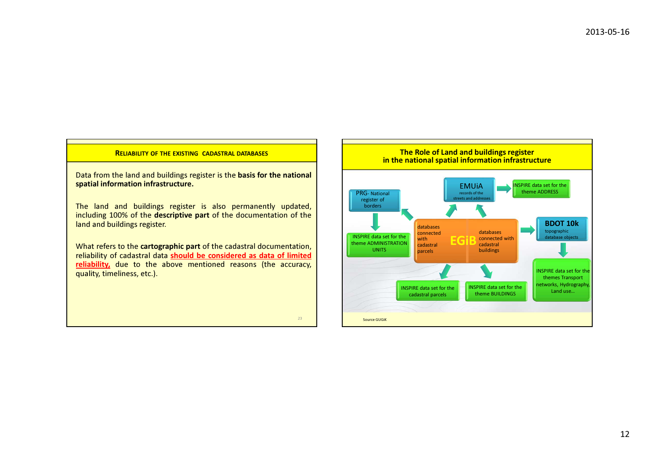# RELIABILITY OF THE EXISTING CADASTRAL DATABASES

Data from the land and buildings register is the basis for the national spatial information infrastructure.

The land and buildings register is also permanently updated,including 100% of the descriptive part of the documentation of the land and buildings register.

What refers to the **cartographic part** of the cadastral documentation, reliability of cadastral data <mark>should be considered as data of limited</mark> reliability, due to the above mentioned reasons (the accuracy, quality, timeliness, etc.).

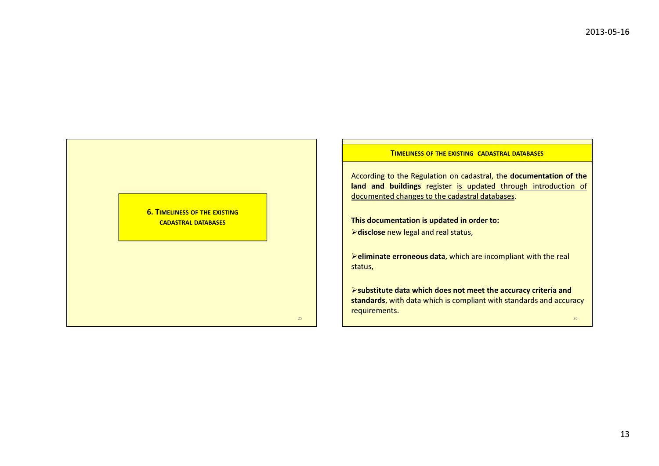

#### TIMELINESS OF THE EXISTING CADASTRAL DATABASES

According to the Regulation on cadastral, the **documentation of the** l<mark>and and buildings</mark> register <u>is updated through introduction of</u> documented changes to the cadastral databases.

This documentation is updated in order to:>disclose new legal and real status,

 $\triangleright$  eliminate erroneous data, which are incompliant with the real status,

 $\triangleright$  substitute data which does not meet the accuracy criteria and standards, with data which is compliant with standards and accuracy requirements.

25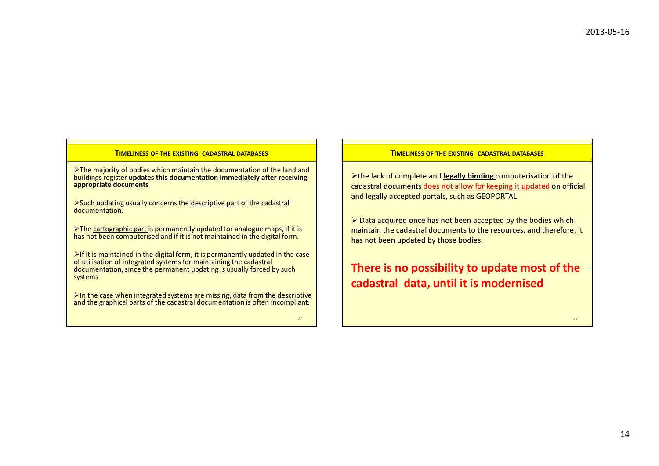#### TIMELINESS OF THE EXISTING CADASTRAL DATABASES

 $\triangleright$  The majority of bodies which maintain the documentation of the land and buildings register updates this documentation immediately after receiving appropriate documents

 $\triangleright$  Such updating usually concerns the descriptive part of the cadastral documentation.

 $\triangleright$  The cartographic part is permanently updated for analogue maps, if it is has not been computerised and if it is not maintained in the digital form.

 $\triangleright$  If it is maintained in the digital form, it is permanently updated in the case of utilisation of integrated systems for maintaining the cadastral documentation, since the permanent updating is usually forced by such systems

 $\triangleright$  In the case when integrated systems are missing, data from the descriptive and the graphical parts of the cadastral documentation is often incompliant.

27

#### TIMELINESS OF THE EXISTING CADASTRAL DATABASES

 $\triangleright$  the lack of complete and legally binding computerisation of the cadastral documents does not allow for keeping it updated on official and legally accepted portals, such as GEOPORTAL.

 $\triangleright$  Data acquired once has not been accepted by the bodies which  $\triangleright$  maintain the codential decumentate the accuracy and therefore maintain the cadastral documents to the resources, and therefore, it has not been updated by those bodies.

# There is no possibility to update most of thecadastral data, until it is modernised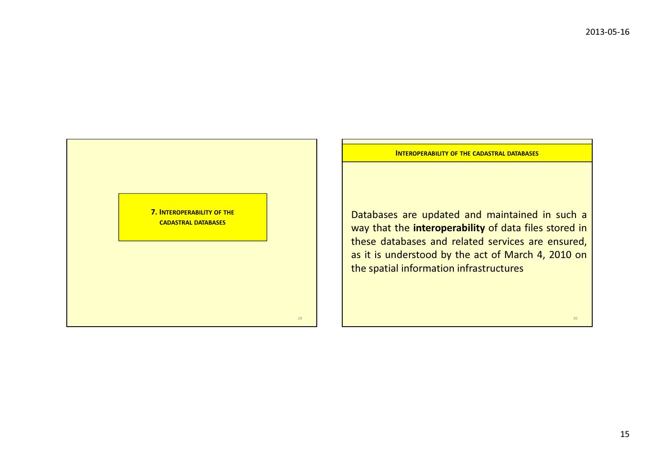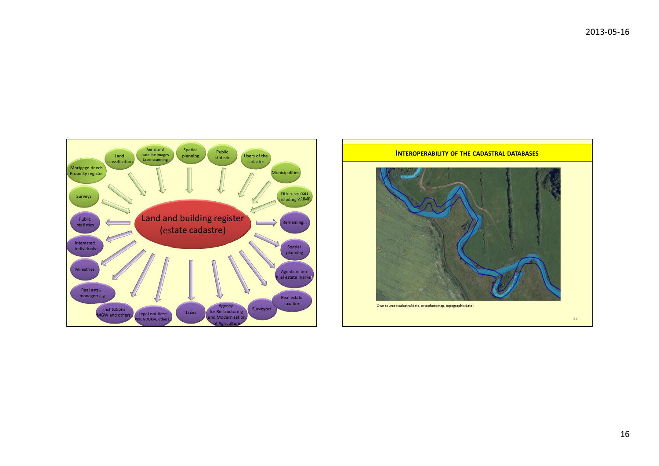

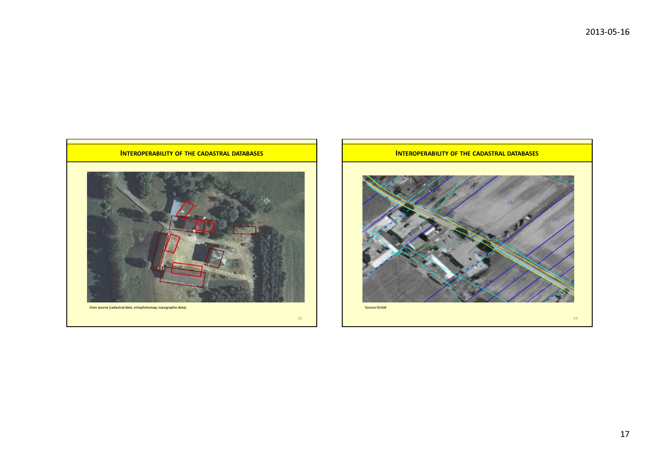

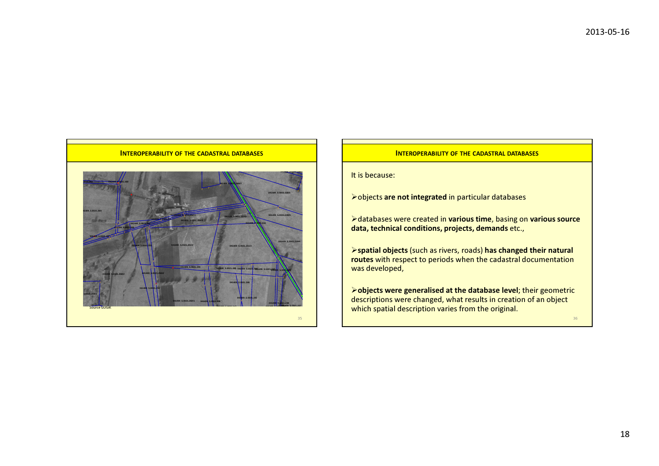

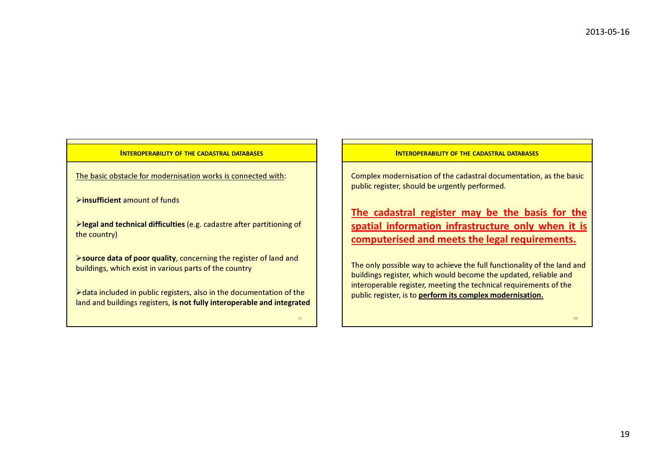## INTEROPERABILITY OF THE CADASTRAL DATABASES

The basic obstacle for modernisation works is connected with:

 $\blacktriangleright$ insufficient amount of funds

 $\blacktriangleright$  legal and technical difficulties (e.g. cadastre after partitioning of the country)

source data of poor quality, concerning the register of land and buildings, which exist in various parts of the country

 $\triangleright$  data included in public registers, also in the documentation of the land and buildings registers, is not fully interoperable and integrated

37

#### INTEROPERABILITY OF THE CADASTRAL DATABASES

Complex modernisation of the cadastral documentation, as the basic public register, should be urgently performed.

The cadastral register may be the basis for the spatial information infrastructure only when it iscomputerised and meets the legal requirements.

The only possible way to achieve the full functionality of the land and buildings register, which would become the updated, reliable and interoperable register, meeting the technical requirements of the public register, is to perform its complex modernisation.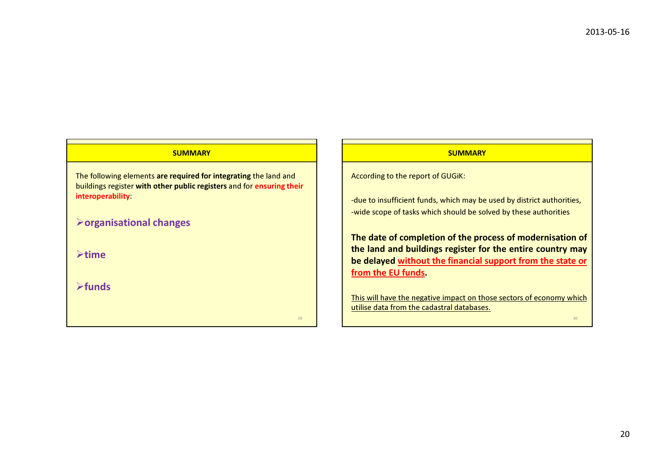# **SUMMARY**

The following elements are required for integrating the land and buildings register with other public registers and for ensuring their interoperability:

39

 $\triangleright$  organisational changes

 $\triangleright$ time

 $\blacktriangleright$ funds

# **SUMMARY** According to the report of GUGiK:-due to insufficient funds, which may be used by district authorities,-wide scope of tasks which should be solved by these authoritiesThe date of completion of the process of modernisation of

 the land and buildings register for the entire country may be delayed without the financial support from the state or from the EU funds.

This will have the negative impact on those sectors of economy which utilise data from the cadastral databases.